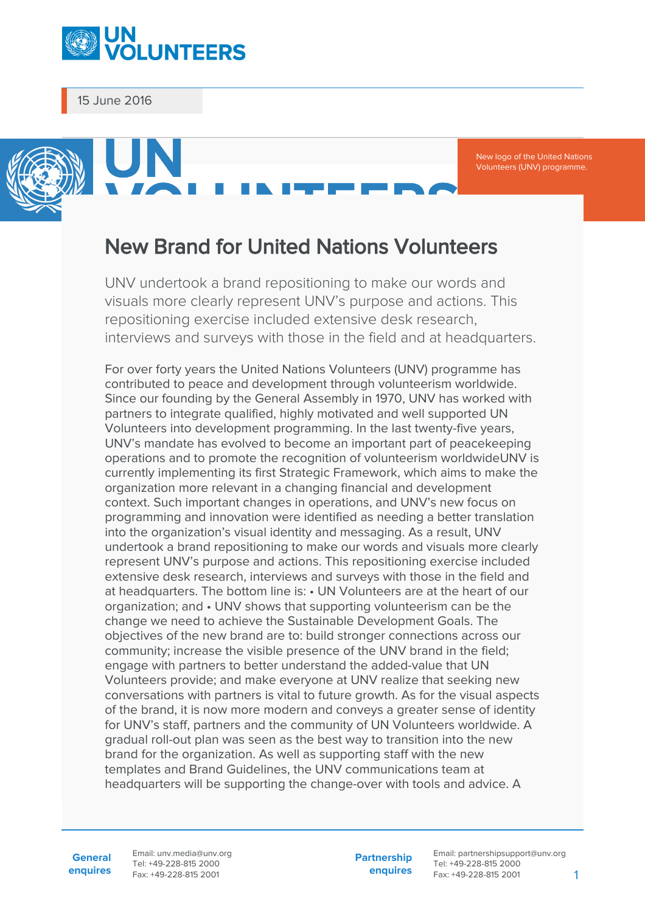

15 June 2016

New logo of the United Nations Volunteers (UNV) programme.

## New Brand for United Nations Volunteers

UNV undertook a brand repositioning to make our words and visuals more clearly represent UNV's purpose and actions. This repositioning exercise included extensive desk research, interviews and surveys with those in the field and at headquarters.

For over forty years the United Nations Volunteers (UNV) programme has contributed to peace and development through volunteerism worldwide. Since our founding by the General Assembly in 1970, UNV has worked with partners to integrate qualified, highly motivated and well supported UN Volunteers into development programming. In the last twenty-five years, UNV's mandate has evolved to become an important part of peacekeeping operations and to promote the recognition of volunteerism worldwideUNV is currently implementing its first Strategic Framework, which aims to make the organization more relevant in a changing financial and development context. Such important changes in operations, and UNV's new focus on programming and innovation were identified as needing a better translation into the organization's visual identity and messaging. As a result, UNV undertook a brand repositioning to make our words and visuals more clearly represent UNV's purpose and actions. This repositioning exercise included extensive desk research, interviews and surveys with those in the field and at headquarters. The bottom line is: • UN Volunteers are at the heart of our organization; and • UNV shows that supporting volunteerism can be the change we need to achieve the Sustainable Development Goals. The objectives of the new brand are to: build stronger connections across our community; increase the visible presence of the UNV brand in the field; engage with partners to better understand the added-value that UN Volunteers provide; and make everyone at UNV realize that seeking new conversations with partners is vital to future growth. As for the visual aspects of the brand, it is now more modern and conveys a greater sense of identity for UNV's staff, partners and the community of UN Volunteers worldwide. A gradual roll-out plan was seen as the best way to transition into the new brand for the organization. As well as supporting staff with the new templates and Brand Guidelines, the UNV communications team at headquarters will be supporting the change-over with tools and advice. A

**General enquires** Email: unv.media@unv.org Tel: +49-228-815 2000 Fax: +49-228-815 2001

**Partnership enquires** Email: partnershipsupport@unv.org Tel: +49-228-815 2000 Fax: +49-228-815 2001 1